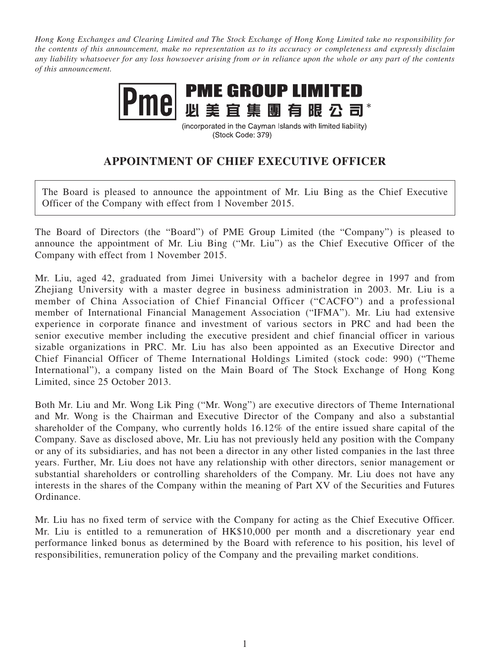*Hong Kong Exchanges and Clearing Limited and The Stock Exchange of Hong Kong Limited take no responsibility for the contents of this announcement, make no representation as to its accuracy or completeness and expressly disclaim any liability whatsoever for any loss howsoever arising from or in reliance upon the whole or any part of the contents of this announcement.*



(incorporated in the Cayman Islands with limited liability) (Stock Code: 379)

## **APPOINTMENT OF CHIEF EXECUTIVE OFFICER**

The Board is pleased to announce the appointment of Mr. Liu Bing as the Chief Executive Officer of the Company with effect from 1 November 2015.

The Board of Directors (the "Board") of PME Group Limited (the "Company") is pleased to announce the appointment of Mr. Liu Bing ("Mr. Liu") as the Chief Executive Officer of the Company with effect from 1 November 2015.

Mr. Liu, aged 42, graduated from Jimei University with a bachelor degree in 1997 and from Zhejiang University with a master degree in business administration in 2003. Mr. Liu is a member of China Association of Chief Financial Officer ("CACFO") and a professional member of International Financial Management Association ("IFMA"). Mr. Liu had extensive experience in corporate finance and investment of various sectors in PRC and had been the senior executive member including the executive president and chief financial officer in various sizable organizations in PRC. Mr. Liu has also been appointed as an Executive Director and Chief Financial Officer of Theme International Holdings Limited (stock code: 990) ("Theme International"), a company listed on the Main Board of The Stock Exchange of Hong Kong Limited, since 25 October 2013.

Both Mr. Liu and Mr. Wong Lik Ping ("Mr. Wong") are executive directors of Theme International and Mr. Wong is the Chairman and Executive Director of the Company and also a substantial shareholder of the Company, who currently holds 16.12% of the entire issued share capital of the Company. Save as disclosed above, Mr. Liu has not previously held any position with the Company or any of its subsidiaries, and has not been a director in any other listed companies in the last three years. Further, Mr. Liu does not have any relationship with other directors, senior management or substantial shareholders or controlling shareholders of the Company. Mr. Liu does not have any interests in the shares of the Company within the meaning of Part XV of the Securities and Futures Ordinance.

Mr. Liu has no fixed term of service with the Company for acting as the Chief Executive Officer. Mr. Liu is entitled to a remuneration of HK\$10,000 per month and a discretionary year end performance linked bonus as determined by the Board with reference to his position, his level of responsibilities, remuneration policy of the Company and the prevailing market conditions.